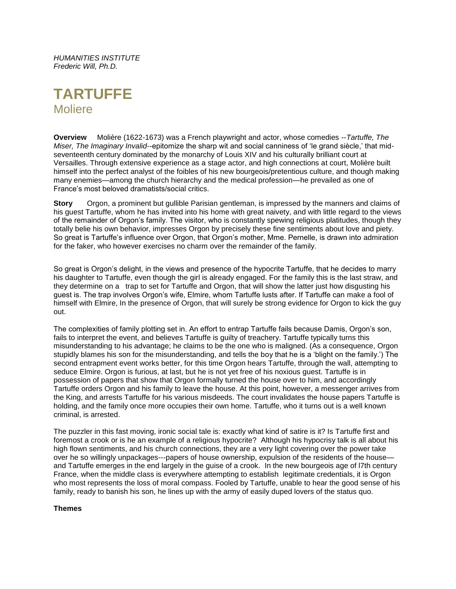*HUMANITIES INSTITUTE Frederic Will, Ph.D.*

# **TARTUFFE** Moliere

**Overview** Molière (1622-1673) was a French playwright and actor, whose comedies --*Tartuffe, The Miser, The Imaginary Invalid*--epitomize the sharp wit and social canniness of 'le grand siècle,' that midseventeenth century dominated by the monarchy of Louis XIV and his culturally brilliant court at Versailles. Through extensive experience as a stage actor, and high connections at court, Molière built himself into the perfect analyst of the foibles of his new bourgeois/pretentious culture, and though making many enemies—among the church hierarchy and the medical profession—he prevailed as one of France's most beloved dramatists/social critics.

**Story** Orgon, a prominent but gullible Parisian gentleman, is impressed by the manners and claims of his guest Tartuffe, whom he has invited into his home with great naivety, and with little regard to the views of the remainder of Orgon's family. The visitor, who is constantly spewing religious platitudes, though they totally belie his own behavior, impresses Orgon by precisely these fine sentiments about love and piety. So great is Tartuffe's influence over Orgon, that Orgon's mother, Mme. Pernelle, is drawn into admiration for the faker, who however exercises no charm over the remainder of the family.

So great is Orgon's delight, in the views and presence of the hypocrite Tartuffe, that he decides to marry his daughter to Tartuffe, even though the girl is already engaged. For the family this is the last straw, and they determine on a trap to set for Tartuffe and Orgon, that will show the latter just how disgusting his guest is. The trap involves Orgon's wife, Elmire, whom Tartuffe lusts after. If Tartuffe can make a fool of himself with Elmire, In the presence of Orgon, that will surely be strong evidence for Orgon to kick the guy out.

The complexities of family plotting set in. An effort to entrap Tartuffe fails because Damis, Orgon's son, fails to interpret the event, and believes Tartuffe is guilty of treachery. Tartuffe typically turns this misunderstanding to his advantage; he claims to be the one who is maligned. (As a consequence, Orgon stupidly blames his son for the misunderstanding, and tells the boy that he is a 'blight on the family.') The second entrapment event works better, for this time Orgon hears Tartuffe, through the wall, attempting to seduce Elmire. Orgon is furious, at last, but he is not yet free of his noxious guest. Tartuffe is in possession of papers that show that Orgon formally turned the house over to him, and accordingly Tartuffe orders Orgon and his family to leave the house. At this point, however, a messenger arrives from the King, and arrests Tartuffe for his various misdeeds. The court invalidates the house papers Tartuffe is holding, and the family once more occupies their own home. Tartuffe, who it turns out is a well known criminal, is arrested.

The puzzler in this fast moving, ironic social tale is: exactly what kind of satire is it? Is Tartuffe first and foremost a crook or is he an example of a religious hypocrite? Although his hypocrisy talk is all about his high flown sentiments, and his church connections, they are a very light covering over the power take over he so willingly unpackages---papers of house ownership, expulsion of the residents of the house and Tartuffe emerges in the end largely in the guise of a crook. In the new bourgeois age of l7th century France, when the middle class is everywhere attempting to establish legitimate credentials, it is Orgon who most represents the loss of moral compass. Fooled by Tartuffe, unable to hear the good sense of his family, ready to banish his son, he lines up with the army of easily duped lovers of the status quo.

#### **Themes**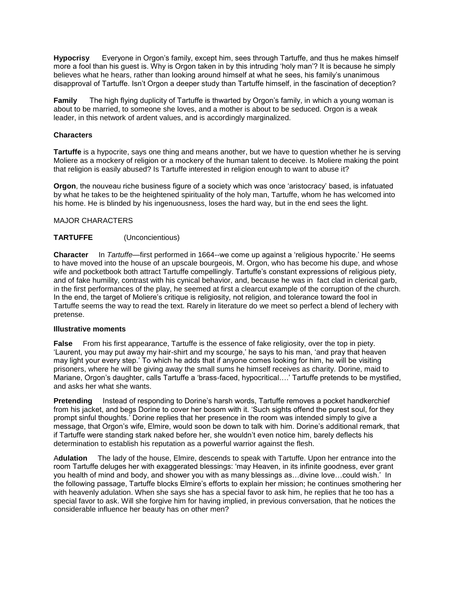**Hypocrisy** Everyone in Orgon's family, except him, sees through Tartuffe, and thus he makes himself more a fool than his guest is. Why is Orgon taken in by this intruding 'holy man'? It is because he simply believes what he hears, rather than looking around himself at what he sees, his family's unanimous disapproval of Tartuffe. Isn't Orgon a deeper study than Tartuffe himself, in the fascination of deception?

**Family** The high flying duplicity of Tartuffe is thwarted by Orgon's family, in which a young woman is about to be married, to someone she loves, and a mother is about to be seduced. Orgon is a weak leader, in this network of ardent values, and is accordingly marginalized.

#### **Characters**

**Tartuffe** is a hypocrite, says one thing and means another, but we have to question whether he is serving Moliere as a mockery of religion or a mockery of the human talent to deceive. Is Moliere making the point that religion is easily abused? Is Tartuffe interested in religion enough to want to abuse it?

**Orgon**, the nouveau riche business figure of a society which was once 'aristocracy' based, is infatuated by what he takes to be the heightened spirituality of the holy man, Tartuffe, whom he has welcomed into his home. He is blinded by his ingenuousness, loses the hard way, but in the end sees the light.

# MAJOR CHARACTERS

# **TARTUFFE** (Unconcientious)

**Character** In *Tartuffe—*first performed in 1664*--*we come up against a 'religious hypocrite.' He seems to have moved into the house of an upscale bourgeois, M. Orgon, who has become his dupe, and whose wife and pocketbook both attract Tartuffe compellingly. Tartuffe's constant expressions of religious piety, and of fake humility, contrast with his cynical behavior, and, because he was in fact clad in clerical garb, in the first performances of the play, he seemed at first a clearcut example of the corruption of the church. In the end, the target of Moliere's critique is religiosity, not religion, and tolerance toward the fool in Tartuffe seems the way to read the text. Rarely in literature do we meet so perfect a blend of lechery with pretense.

#### **Illustrative moments**

**False** From his first appearance, Tartuffe is the essence of fake religiosity, over the top in piety. 'Laurent, you may put away my hair-shirt and my scourge,' he says to his man, 'and pray that heaven may light your every step.' To which he adds that if anyone comes looking for him, he will be visiting prisoners, where he will be giving away the small sums he himself receives as charity. Dorine, maid to Mariane, Orgon's daughter, calls Tartuffe a 'brass-faced, hypocritical….' Tartuffe pretends to be mystified, and asks her what she wants.

**Pretending** Instead of responding to Dorine's harsh words, Tartuffe removes a pocket handkerchief from his jacket, and begs Dorine to cover her bosom with it. 'Such sights offend the purest soul, for they prompt sinful thoughts.' Dorine replies that her presence in the room was intended simply to give a message, that Orgon's wife, Elmire, would soon be down to talk with him. Dorine's additional remark, that if Tartuffe were standing stark naked before her, she wouldn't even notice him, barely deflects his determination to establish his reputation as a powerful warrior against the flesh.

A**dulation** The lady of the house, Elmire, descends to speak with Tartuffe. Upon her entrance into the room Tartuffe deluges her with exaggerated blessings: 'may Heaven, in its infinite goodness, ever grant you health of mind and body, and shower you with as many blessings as…divine love…could wish.' In the following passage, Tartuffe blocks Elmire's efforts to explain her mission; he continues smothering her with heavenly adulation. When she says she has a special favor to ask him, he replies that he too has a special favor to ask. Will she forgive him for having implied, in previous conversation, that he notices the considerable influence her beauty has on other men?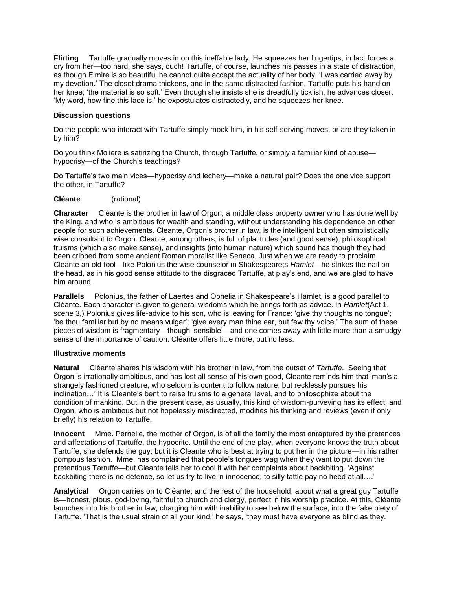F**lirting** Tartuffe gradually moves in on this ineffable lady. He squeezes her fingertips, in fact forces a cry from her—too hard, she says, ouch! Tartuffe, of course, launches his passes in a state of distraction, as though Elmire is so beautiful he cannot quite accept the actuality of her body. 'I was carried away by my devotion.' The closet drama thickens, and in the same distracted fashion, Tartuffe puts his hand on her knee; 'the material is so soft.' Even though she insists she is dreadfully ticklish, he advances closer. 'My word, how fine this lace is,' he expostulates distractedly, and he squeezes her knee.

# **Discussion questions**

Do the people who interact with Tartuffe simply mock him, in his self-serving moves, or are they taken in by him?

Do you think Moliere is satirizing the Church, through Tartuffe, or simply a familiar kind of abuse hypocrisy—of the Church's teachings?

Do Tartuffe's two main vices—hypocrisy and lechery—make a natural pair? Does the one vice support the other, in Tartuffe?

# **Cléante** (rational)

**Character** Cléante is the brother in law of Orgon, a middle class property owner who has done well by the King, and who is ambitious for wealth and standing, without understanding his dependence on other people for such achievements. Cleante, Orgon's brother in law, is the intelligent but often simplistically wise consultant to Orgon. Cleante, among others, is full of platitudes (and good sense), philosophical truisms (which also make sense), and insights (into human nature) which sound has though they had been cribbed from some ancient Roman moralist like Seneca. Just when we are ready to proclaim Cleante an old fool—like Polonius the wise counselor in Shakespeare;s *Hamlet*—he strikes the nail on the head, as in his good sense attitude to the disgraced Tartuffe, at play's end, and we are glad to have him around.

**Parallels** Polonius, the father of Laertes and Ophelia in Shakespeare's Hamlet, is a good parallel to Cléante. Each character is given to general wisdoms which he brings forth as advice. In *Hamlet*(Act 1, scene 3,) Polonius gives life-advice to his son, who is leaving for France: 'give thy thoughts no tongue'; 'be thou familiar but by no means vulgar'; 'give every man thine ear, but few thy voice.' The sum of these pieces of wisdom is fragmentary—though 'sensible'—and one comes away with little more than a smudgy sense of the importance of caution. Cléante offers little more, but no less.

#### **Illustrative moments**

**Natural** Cléante shares his wisdom with his brother in law, from the outset of *Tartuffe*. Seeing that Orgon is irrationally ambitious, and has lost all sense of his own good, Cleante reminds him that 'man's a strangely fashioned creature, who seldom is content to follow nature, but recklessly pursues his inclination…' It is Cleante's bent to raise truisms to a general level, and to philosophize about the condition of mankind. But in the present case, as usually, this kind of wisdom-purveying has its effect, and Orgon, who is ambitious but not hopelessly misdirected, modifies his thinking and reviews (even if only briefly) his relation to Tartuffe.

**Innocent** Mme. Pernelle, the mother of Orgon, is of all the family the most enraptured by the pretences and affectations of Tartuffe, the hypocrite. Until the end of the play, when everyone knows the truth about Tartuffe, she defends the guy; but it is Cleante who is best at trying to put her in the picture—in his rather pompous fashion. Mme. has complained that people's tongues wag when they want to put down the pretentious Tartuffe—but Cleante tells her to cool it with her complaints about backbiting. 'Against backbiting there is no defence, so let us try to live in innocence, to silly tattle pay no heed at all….'

**Analytical** Orgon carries on to Cléante, and the rest of the household, about what a great guy Tartuffe is—honest, pious, god-loving, faithful to church and clergy, perfect in his worship practice. At this, Cléante launches into his brother in law, charging him with inability to see below the surface, into the fake piety of Tartuffe. 'That is the usual strain of all your kind,' he says, 'they must have everyone as blind as they.